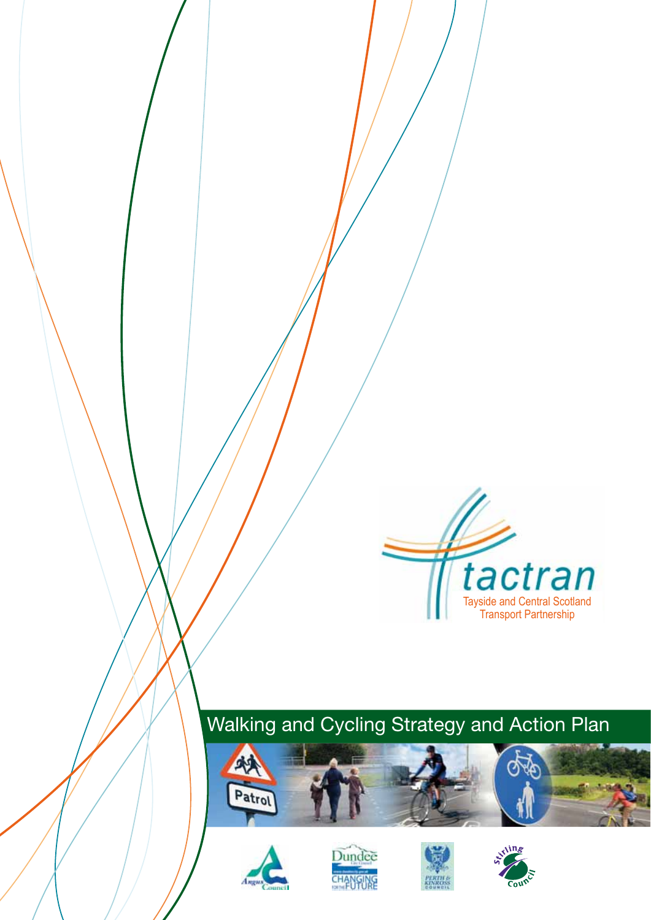

## Walking and Cycling Strategy and Action Plan









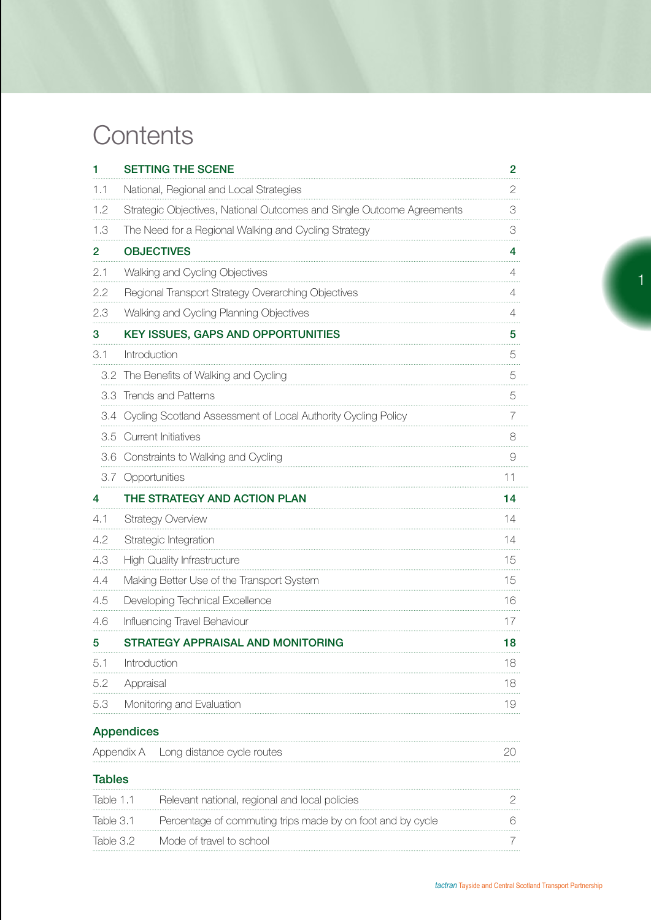## **Contents**

| 1             | <b>SETTING THE SCENE</b>                                              | $\overline{2}$ |
|---------------|-----------------------------------------------------------------------|----------------|
| 1.1           | National, Regional and Local Strategies                               | $\mathbf{2}$   |
| 1.2           | Strategic Objectives, National Outcomes and Single Outcome Agreements | 3              |
| 1.3           | The Need for a Regional Walking and Cycling Strategy                  | 3              |
| 2             | <b>OBJECTIVES</b>                                                     | 4              |
| 2.1           | Walking and Cycling Objectives                                        | 4              |
| 2.2           | Regional Transport Strategy Overarching Objectives                    | 4              |
| 2.3           | Walking and Cycling Planning Objectives                               | 4              |
| 3             | KEY ISSUES, GAPS AND OPPORTUNITIES                                    | 5              |
| 3.1           | Introduction                                                          | 5              |
|               | 3.2 The Benefits of Walking and Cycling                               | 5              |
|               | 3.3 Trends and Patterns                                               | 5              |
|               | 3.4 Cycling Scotland Assessment of Local Authority Cycling Policy     | 7              |
|               | 3.5 Current Initiatives                                               | 8              |
|               | 3.6 Constraints to Walking and Cycling                                | $\Theta$       |
|               | 3.7 Opportunities                                                     | 11             |
| 4             | THE STRATEGY AND ACTION PLAN                                          | 14             |
| 4.1           | <b>Strategy Overview</b>                                              | 14             |
| 4.2           | Strategic Integration                                                 | 14             |
| 4.3           | <b>High Quality Infrastructure</b>                                    | 15             |
| 4.4           | Making Better Use of the Transport System                             | 15             |
| 4.5           | Developing Technical Excellence                                       | 16             |
| 4.6           | Influencing Travel Behaviour                                          | 17             |
| 5             | STRATEGY APPRAISAL AND MONITORING                                     | 18             |
| 5.1           | Introduction                                                          | 18             |
| 5.2           | Appraisal                                                             | 18             |
| 5.3           | Monitoring and Evaluation                                             | 19             |
|               | <b>Appendices</b>                                                     |                |
|               | Appendix A<br>Long distance cycle routes                              | 20             |
| <b>Tables</b> |                                                                       |                |
| Table 1.1     | Relevant national, regional and local policies                        | 2              |
| Table 3.1     | Percentage of commuting trips made by on foot and by cycle            | 6              |
| Table 3.2     | Mode of travel to school                                              | 7              |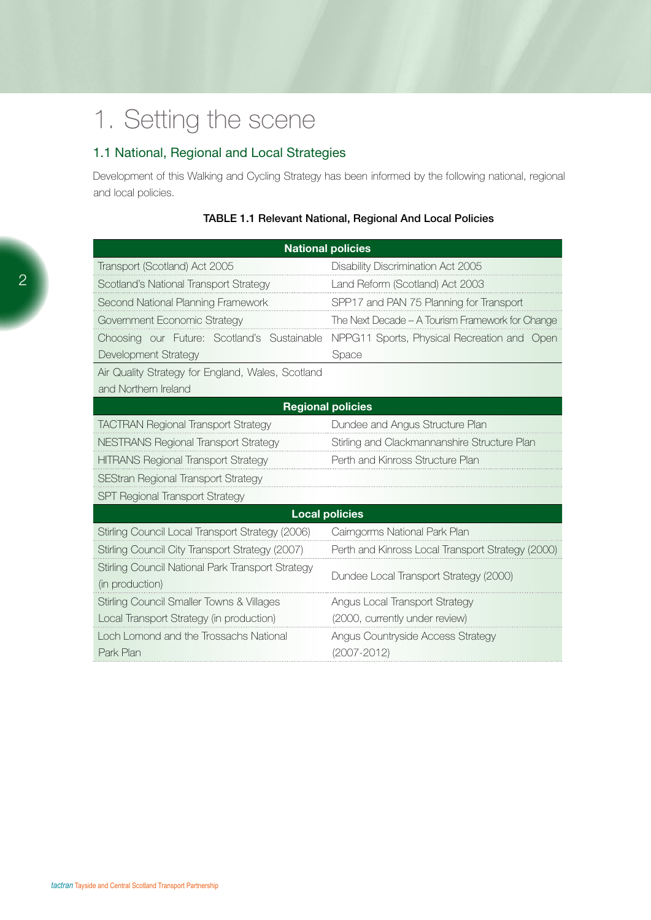## 1. Setting the scene

## 1.1 National, Regional and Local Strategies

Development of this Walking and Cycling Strategy has been informed by the following national, regional and local policies.

|                                                   | <b>National policies</b>                          |
|---------------------------------------------------|---------------------------------------------------|
| Transport (Scotland) Act 2005                     | Disability Discrimination Act 2005                |
| Scotland's National Transport Strategy            | Land Reform (Scotland) Act 2003                   |
| Second National Planning Framework                | SPP17 and PAN 75 Planning for Transport           |
| Government Economic Strategy                      | The Next Decade - A Tourism Framework for Change  |
| Choosing our Future: Scotland's Sustainable       | NPPG11 Sports, Physical Recreation and Open       |
| Development Strategy                              | Space                                             |
| Air Quality Strategy for England, Wales, Scotland |                                                   |
| and Northern Ireland                              |                                                   |
|                                                   | <b>Regional policies</b>                          |
| <b>TACTRAN Regional Transport Strategy</b>        | Dundee and Angus Structure Plan                   |
| <b>NESTRANS Regional Transport Strategy</b>       | Stirling and Clackmannanshire Structure Plan      |
| <b>HITRANS Regional Transport Strategy</b>        | Perth and Kinross Structure Plan                  |
| <b>SEStran Regional Transport Strategy</b>        |                                                   |
| <b>SPT Regional Transport Strategy</b>            |                                                   |
|                                                   | <b>Local policies</b>                             |
| Stirling Council Local Transport Strategy (2006)  | Cairngorms National Park Plan                     |
| Stirling Council City Transport Strategy (2007)   | Perth and Kinross Local Transport Strategy (2000) |
| Stirling Council National Park Transport Strategy |                                                   |
| (in production)                                   | Dundee Local Transport Strategy (2000)            |
| Stirling Council Smaller Towns & Villages         | Angus Local Transport Strategy                    |
| Local Transport Strategy (in production)          | (2000, currently under review)                    |
| Loch Lomond and the Trossachs National            | Angus Countryside Access Strategy                 |
| Park Plan                                         | $(2007 - 2012)$                                   |

#### Table 1.1 Relevant National, Regional And Local Policies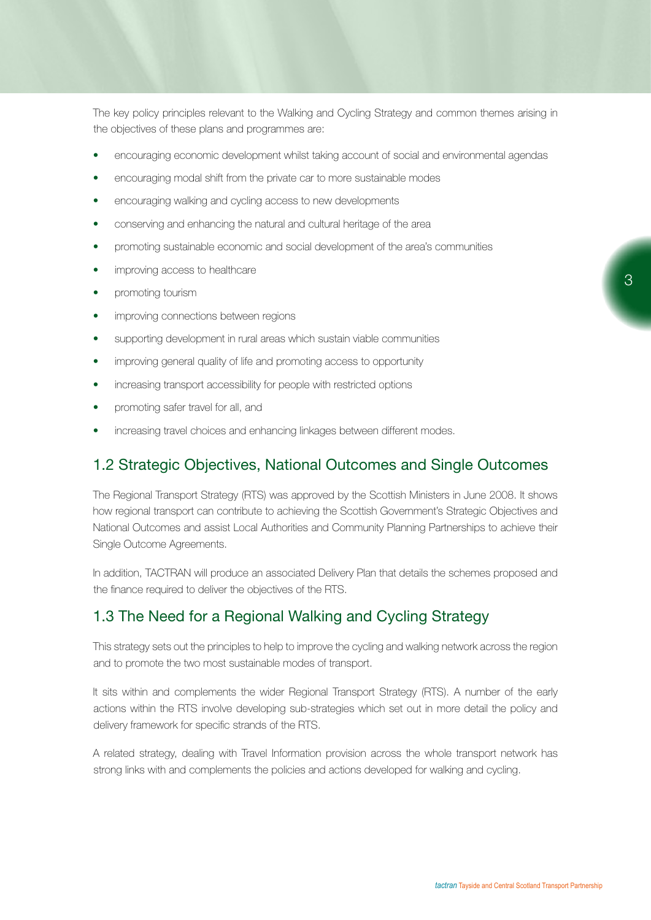The key policy principles relevant to the Walking and Cycling Strategy and common themes arising in the objectives of these plans and programmes are:

- encouraging economic development whilst taking account of social and environmental agendas
- encouraging modal shift from the private car to more sustainable modes
- encouraging walking and cycling access to new developments
- conserving and enhancing the natural and cultural heritage of the area
- promoting sustainable economic and social development of the area's communities
- improving access to healthcare
- promoting tourism
- improving connections between regions
- supporting development in rural areas which sustain viable communities
- improving general quality of life and promoting access to opportunity
- increasing transport accessibility for people with restricted options
- promoting safer travel for all, and
- increasing travel choices and enhancing linkages between different modes.

### 1.2 Strategic Objectives, National Outcomes and Single Outcomes

The Regional Transport Strategy (RTS) was approved by the Scottish Ministers in June 2008. It shows how regional transport can contribute to achieving the Scottish Government's Strategic Objectives and National Outcomes and assist Local Authorities and Community Planning Partnerships to achieve their Single Outcome Agreements.

In addition, TACTRAN will produce an associated Delivery Plan that details the schemes proposed and the finance required to deliver the objectives of the RTS.

### 1.3 The Need for a Regional Walking and Cycling Strategy

This strategy sets out the principles to help to improve the cycling and walking network across the region and to promote the two most sustainable modes of transport.

It sits within and complements the wider Regional Transport Strategy (RTS). A number of the early actions within the RTS involve developing sub-strategies which set out in more detail the policy and delivery framework for specific strands of the RTS.

A related strategy, dealing with Travel Information provision across the whole transport network has strong links with and complements the policies and actions developed for walking and cycling.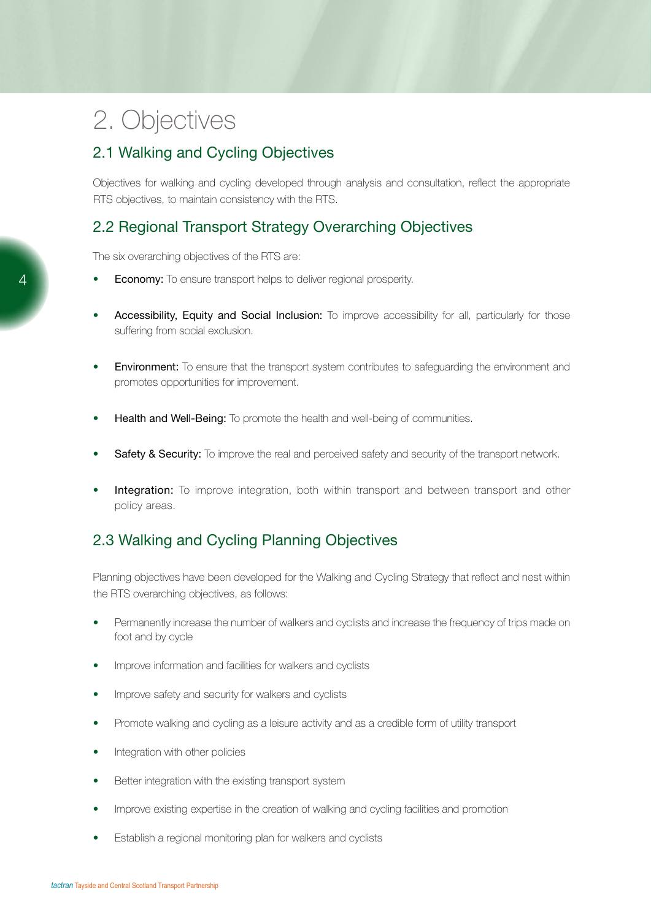## 2. Objectives

## 2.1 Walking and Cycling Objectives

Objectives for walking and cycling developed through analysis and consultation, reflect the appropriate RTS objectives, to maintain consistency with the RTS.

## 2.2 Regional Transport Strategy Overarching Objectives

The six overarching objectives of the RTS are:

- **Economy:** To ensure transport helps to deliver regional prosperity.
- Accessibility, Equity and Social Inclusion: To improve accessibility for all, particularly for those suffering from social exclusion.
- **Environment:** To ensure that the transport system contributes to safeguarding the environment and promotes opportunities for improvement.
- **Health and Well-Being:** To promote the health and well-being of communities.
- **Safety & Security:** To improve the real and perceived safety and security of the transport network.
- Integration: To improve integration, both within transport and between transport and other policy areas.

## 2.3 Walking and Cycling Planning Objectives

Planning objectives have been developed for the Walking and Cycling Strategy that reflect and nest within the RTS overarching objectives, as follows:

- Permanently increase the number of walkers and cyclists and increase the frequency of trips made on foot and by cycle
- Improve information and facilities for walkers and cyclists
- Improve safety and security for walkers and cyclists
- Promote walking and cycling as a leisure activity and as a credible form of utility transport
- Integration with other policies
- Better integration with the existing transport system
- Improve existing expertise in the creation of walking and cycling facilities and promotion
- Establish a regional monitoring plan for walkers and cyclists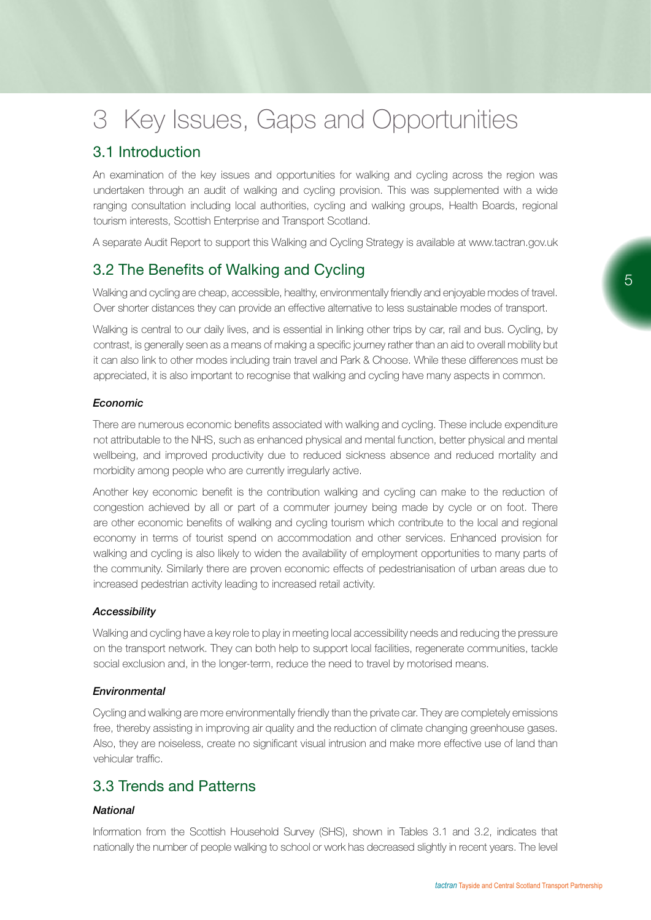## 3 Key Issues, Gaps and Opportunities

## 3.1 Introduction

An examination of the key issues and opportunities for walking and cycling across the region was undertaken through an audit of walking and cycling provision. This was supplemented with a wide ranging consultation including local authorities, cycling and walking groups, Health Boards, regional tourism interests, Scottish Enterprise and Transport Scotland.

A separate Audit Report to support this Walking and Cycling Strategy is available at www.tactran.gov.uk

## 3.2 The Benefits of Walking and Cycling

Walking and cycling are cheap, accessible, healthy, environmentally friendly and enjoyable modes of travel. Over shorter distances they can provide an effective alternative to less sustainable modes of transport.

Walking is central to our daily lives, and is essential in linking other trips by car, rail and bus. Cycling, by contrast, is generally seen as a means of making a specific journey rather than an aid to overall mobility but it can also link to other modes including train travel and Park & Choose. While these differences must be appreciated, it is also important to recognise that walking and cycling have many aspects in common.

#### *Economic*

There are numerous economic benefits associated with walking and cycling. These include expenditure not attributable to the NHS, such as enhanced physical and mental function, better physical and mental wellbeing, and improved productivity due to reduced sickness absence and reduced mortality and morbidity among people who are currently irregularly active.

Another key economic benefit is the contribution walking and cycling can make to the reduction of congestion achieved by all or part of a commuter journey being made by cycle or on foot. There are other economic benefits of walking and cycling tourism which contribute to the local and regional economy in terms of tourist spend on accommodation and other services. Enhanced provision for walking and cycling is also likely to widen the availability of employment opportunities to many parts of the community. Similarly there are proven economic effects of pedestrianisation of urban areas due to increased pedestrian activity leading to increased retail activity.

#### *Accessibility*

Walking and cycling have a key role to play in meeting local accessibility needs and reducing the pressure on the transport network. They can both help to support local facilities, regenerate communities, tackle social exclusion and, in the longer-term, reduce the need to travel by motorised means.

#### *Environmental*

Cycling and walking are more environmentally friendly than the private car. They are completely emissions free, thereby assisting in improving air quality and the reduction of climate changing greenhouse gases. Also, they are noiseless, create no significant visual intrusion and make more effective use of land than vehicular traffic.

## 3.3 Trends and Patterns

#### *National*

Information from the Scottish Household Survey (SHS), shown in Tables 3.1 and 3.2, indicates that nationally the number of people walking to school or work has decreased slightly in recent years. The level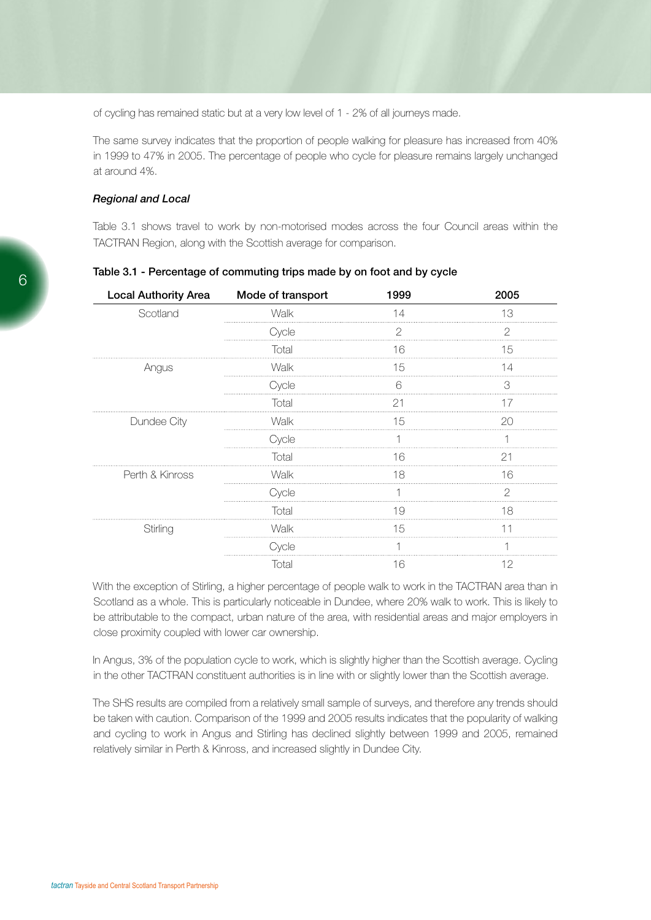of cycling has remained static but at a very low level of 1 - 2% of all journeys made.

The same survey indicates that the proportion of people walking for pleasure has increased from 40% in 1999 to 47% in 2005. The percentage of people who cycle for pleasure remains largely unchanged at around 4%.

#### *Regional and Local*

Table 3.1 shows travel to work by non-motorised modes across the four Council areas within the TACTRAN Region, along with the Scottish average for comparison.

| <b>Local Authority Area</b> | Mode of transport | 1999 | 2005          |
|-----------------------------|-------------------|------|---------------|
| Scotland                    | Walk              | 14   | 13            |
|                             | Cycle             | 2    | 2             |
|                             | Total             | 16   | 15            |
| Angus                       | Walk              | 15   | 14            |
|                             | Cycle             | 6    | 3             |
|                             | Total             | 21   | 17            |
| Dundee City                 | Walk              | 15   | 20            |
|                             | Cycle             |      |               |
|                             | Total             | 16   | 21            |
| Perth & Kinross             | Walk              | 18   | 16            |
|                             | Cycle             |      | $\mathcal{P}$ |
|                             | Total             | 19   | 18            |
| Stirling                    | Walk              | 15   | 11            |
|                             | Cycle             |      |               |
|                             | Total             | 16   | 12            |

Table 3.1 - Percentage of commuting trips made by on foot and by cycle

With the exception of Stirling, a higher percentage of people walk to work in the TACTRAN area than in Scotland as a whole. This is particularly noticeable in Dundee, where 20% walk to work. This is likely to be attributable to the compact, urban nature of the area, with residential areas and major employers in close proximity coupled with lower car ownership.

In Angus, 3% of the population cycle to work, which is slightly higher than the Scottish average. Cycling in the other TACTRAN constituent authorities is in line with or slightly lower than the Scottish average.

The SHS results are compiled from a relatively small sample of surveys, and therefore any trends should be taken with caution. Comparison of the 1999 and 2005 results indicates that the popularity of walking and cycling to work in Angus and Stirling has declined slightly between 1999 and 2005, remained relatively similar in Perth & Kinross, and increased slightly in Dundee City.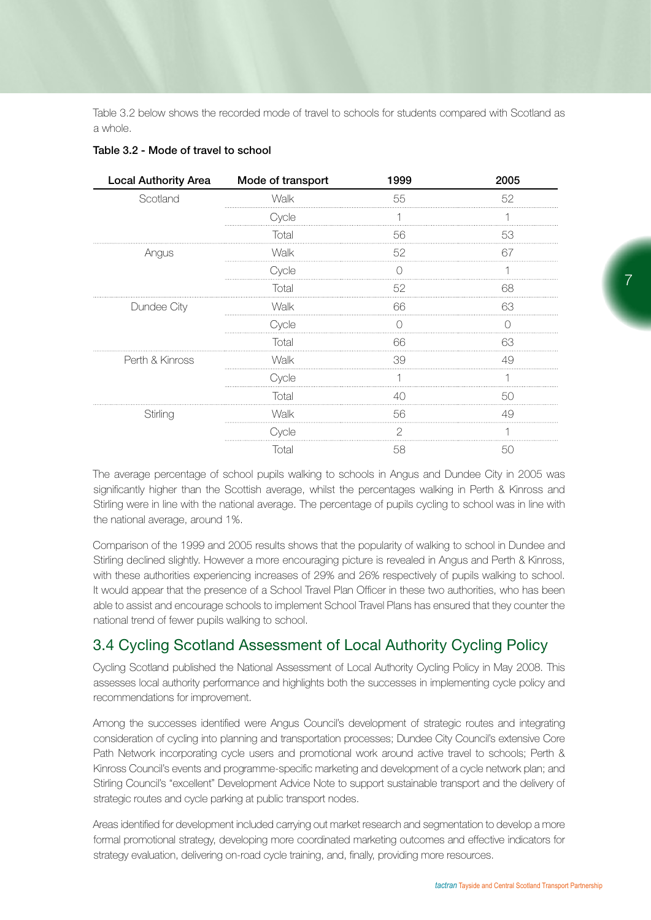Table 3.2 below shows the recorded mode of travel to schools for students compared with Scotland as a whole.

| <b>Local Authority Area</b> | Mode of transport | 1999 | 2005 |
|-----------------------------|-------------------|------|------|
| Scotland                    | Walk              | 55   | 52   |
|                             | Cycle             |      | ⊣    |
|                             | Total             | 56   | 53   |
| Angus                       | Walk              | 52   | 67   |
|                             | Cycle             | ∩    |      |
|                             | Total             | 52   | 68   |
| Dundee City                 | Walk              | 66   | 63   |
|                             | Cycle             |      |      |
|                             | Total             | 66   | 63   |
| Perth & Kinross             | Walk              | 39   | 49   |
|                             | Cycle             |      |      |
|                             | Total             | 40   | 50   |
| Stirling                    | Walk              | 56   | 49   |
|                             | Cycle             | 2    |      |
|                             | Total             | 58   | 50   |
|                             |                   |      |      |

#### Table 3.2 - Mode of travel to school

The average percentage of school pupils walking to schools in Angus and Dundee City in 2005 was significantly higher than the Scottish average, whilst the percentages walking in Perth & Kinross and Stirling were in line with the national average. The percentage of pupils cycling to school was in line with the national average, around 1%.

Comparison of the 1999 and 2005 results shows that the popularity of walking to school in Dundee and Stirling declined slightly. However a more encouraging picture is revealed in Angus and Perth & Kinross, with these authorities experiencing increases of 29% and 26% respectively of pupils walking to school. It would appear that the presence of a School Travel Plan Officer in these two authorities, who has been able to assist and encourage schools to implement School Travel Plans has ensured that they counter the national trend of fewer pupils walking to school.

## 3.4 Cycling Scotland Assessment of Local Authority Cycling Policy

Cycling Scotland published the National Assessment of Local Authority Cycling Policy in May 2008. This assesses local authority performance and highlights both the successes in implementing cycle policy and recommendations for improvement.

Among the successes identified were Angus Council's development of strategic routes and integrating consideration of cycling into planning and transportation processes; Dundee City Council's extensive Core Path Network incorporating cycle users and promotional work around active travel to schools; Perth & Kinross Council's events and programme-specific marketing and development of a cycle network plan; and Stirling Council's "excellent" Development Advice Note to support sustainable transport and the delivery of strategic routes and cycle parking at public transport nodes.

Areas identified for development included carrying out market research and segmentation to develop a more formal promotional strategy, developing more coordinated marketing outcomes and effective indicators for strategy evaluation, delivering on-road cycle training, and, finally, providing more resources.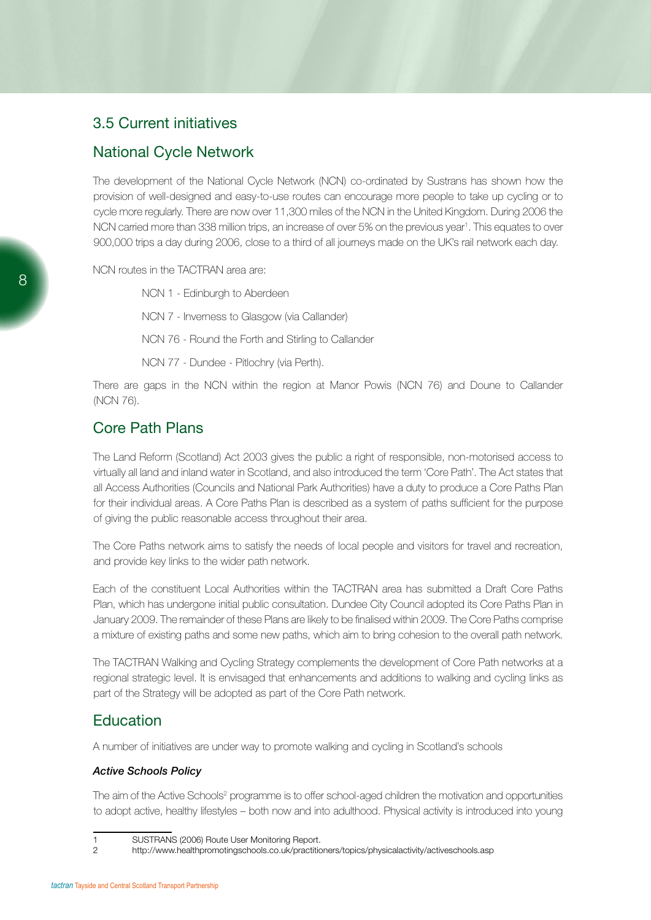## 3.5 Current initiatives

### National Cycle Network

The development of the National Cycle Network (NCN) co-ordinated by Sustrans has shown how the provision of well-designed and easy-to-use routes can encourage more people to take up cycling or to cycle more regularly. There are now over 11,300 miles of the NCN in the United Kingdom. During 2006 the NCN carried more than 338 million trips, an increase of over 5% on the previous year<sup>1</sup>. This equates to over 900,000 trips a day during 2006, close to a third of all journeys made on the UK's rail network each day.

NCN routes in the TACTRAN area are:

NCN 1 - Edinburgh to Aberdeen NCN 7 - Inverness to Glasgow (via Callander) NCN 76 - Round the Forth and Stirling to Callander

NCN 77 - Dundee - Pitlochry (via Perth).

There are gaps in the NCN within the region at Manor Powis (NCN 76) and Doune to Callander (NCN 76).

## Core Path Plans

The Land Reform (Scotland) Act 2003 gives the public a right of responsible, non-motorised access to virtually all land and inland water in Scotland, and also introduced the term 'Core Path'. The Act states that all Access Authorities (Councils and National Park Authorities) have a duty to produce a Core Paths Plan for their individual areas. A Core Paths Plan is described as a system of paths sufficient for the purpose of giving the public reasonable access throughout their area.

The Core Paths network aims to satisfy the needs of local people and visitors for travel and recreation, and provide key links to the wider path network.

Each of the constituent Local Authorities within the TACTRAN area has submitted a Draft Core Paths Plan, which has undergone initial public consultation. Dundee City Council adopted its Core Paths Plan in January 2009. The remainder of these Plans are likely to be finalised within 2009. The Core Paths comprise a mixture of existing paths and some new paths, which aim to bring cohesion to the overall path network.

The TACTRAN Walking and Cycling Strategy complements the development of Core Path networks at a regional strategic level. It is envisaged that enhancements and additions to walking and cycling links as part of the Strategy will be adopted as part of the Core Path network.

## **Education**

A number of initiatives are under way to promote walking and cycling in Scotland's schools

#### *Active Schools Policy*

The aim of the Active Schools<sup>2</sup> programme is to offer school-aged children the motivation and opportunities to adopt active, healthy lifestyles – both now and into adulthood. Physical activity is introduced into young

<sup>1</sup> SUSTRANS (2006) Route User Monitoring Report.

<sup>2</sup> http://www.healthpromotingschools.co.uk/practitioners/topics/physicalactivity/activeschools.asp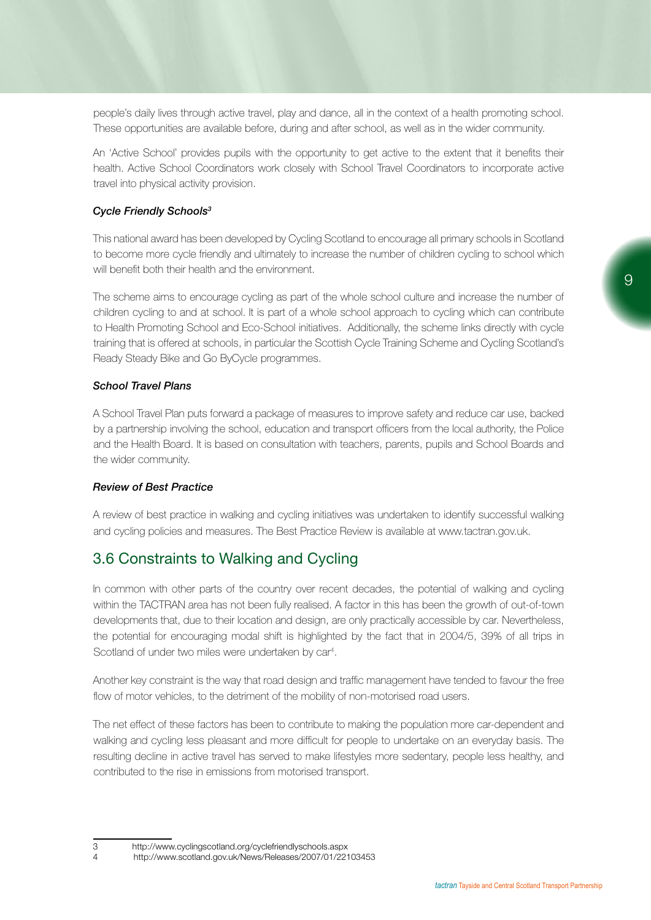people's daily lives through active travel, play and dance, all in the context of a health promoting school. These opportunities are available before, during and after school, as well as in the wider community.

An 'Active School' provides pupils with the opportunity to get active to the extent that it benefits their health. Active School Coordinators work closely with School Travel Coordinators to incorporate active travel into physical activity provision.

#### *Cycle Friendly Schools3*

This national award has been developed by Cycling Scotland to encourage all primary schools in Scotland to become more cycle friendly and ultimately to increase the number of children cycling to school which will benefit both their health and the environment.

The scheme aims to encourage cycling as part of the whole school culture and increase the number of children cycling to and at school. It is part of a whole school approach to cycling which can contribute to Health Promoting School and Eco-School initiatives. Additionally, the scheme links directly with cycle training that is offered at schools, in particular the Scottish Cycle Training Scheme and Cycling Scotland's Ready Steady Bike and Go ByCycle programmes.

#### *School Travel Plans*

A School Travel Plan puts forward a package of measures to improve safety and reduce car use, backed by a partnership involving the school, education and transport officers from the local authority, the Police and the Health Board. It is based on consultation with teachers, parents, pupils and School Boards and the wider community.

#### *Review of Best Practice*

A review of best practice in walking and cycling initiatives was undertaken to identify successful walking and cycling policies and measures. The Best Practice Review is available at www.tactran.gov.uk.

## 3.6 Constraints to Walking and Cycling

In common with other parts of the country over recent decades, the potential of walking and cycling within the TACTRAN area has not been fully realised. A factor in this has been the growth of out-of-town developments that, due to their location and design, are only practically accessible by car. Nevertheless, the potential for encouraging modal shift is highlighted by the fact that in 2004/5, 39% of all trips in Scotland of under two miles were undertaken by car<sup>4</sup>.

Another key constraint is the way that road design and traffic management have tended to favour the free flow of motor vehicles, to the detriment of the mobility of non-motorised road users.

The net effect of these factors has been to contribute to making the population more car-dependent and walking and cycling less pleasant and more difficult for people to undertake on an everyday basis. The resulting decline in active travel has served to make lifestyles more sedentary, people less healthy, and contributed to the rise in emissions from motorised transport.

<sup>3</sup> http://www.cyclingscotland.org/cyclefriendlyschools.aspx

<sup>4</sup> http://www.scotland.gov.uk/News/Releases/2007/01/22103453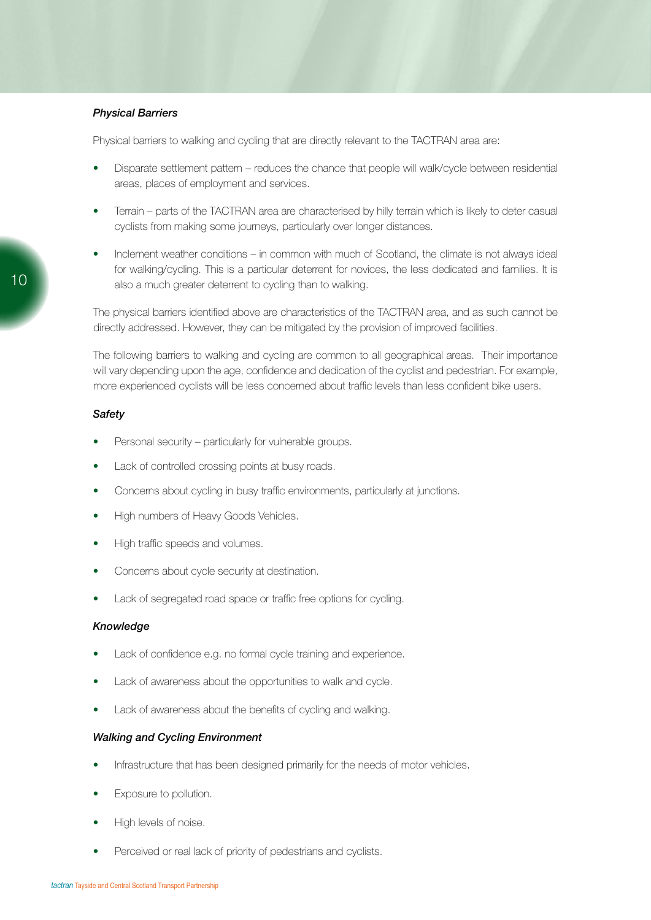#### *Physical Barriers*

Physical barriers to walking and cycling that are directly relevant to the TACTRAN area are:

- Disparate settlement pattern reduces the chance that people will walk/cycle between residential areas, places of employment and services.
- Terrain parts of the TACTRAN area are characterised by hilly terrain which is likely to deter casual cyclists from making some journeys, particularly over longer distances.
- Inclement weather conditions in common with much of Scotland, the climate is not always ideal for walking/cycling. This is a particular deterrent for novices, the less dedicated and families. It is also a much greater deterrent to cycling than to walking.

The physical barriers identified above are characteristics of the TACTRAN area, and as such cannot be directly addressed. However, they can be mitigated by the provision of improved facilities.

The following barriers to walking and cycling are common to all geographical areas. Their importance will vary depending upon the age, confidence and dedication of the cyclist and pedestrian. For example, more experienced cyclists will be less concerned about traffic levels than less confident bike users.

#### *Safety*

- Personal security particularly for vulnerable groups.
- Lack of controlled crossing points at busy roads.
- Concerns about cycling in busy traffic environments, particularly at junctions.
- High numbers of Heavy Goods Vehicles.
- High traffic speeds and volumes.
- Concerns about cycle security at destination.
- Lack of segregated road space or traffic free options for cycling.

#### *Knowledge*

- Lack of confidence e.g. no formal cycle training and experience.
- Lack of awareness about the opportunities to walk and cycle.
- Lack of awareness about the benefits of cycling and walking.

#### *Walking and Cycling Environment*

- Infrastructure that has been designed primarily for the needs of motor vehicles.
- Exposure to pollution.
- High levels of noise.
- Perceived or real lack of priority of pedestrians and cyclists.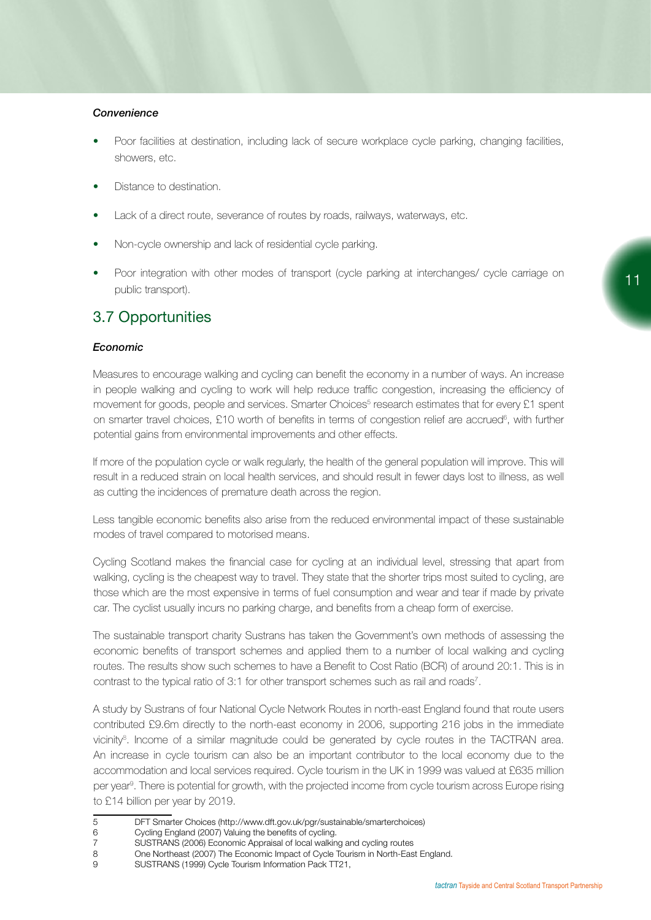#### *Convenience*

- Poor facilities at destination, including lack of secure workplace cycle parking, changing facilities, showers, etc.
- Distance to destination.
- Lack of a direct route, severance of routes by roads, railways, waterways, etc.
- Non-cycle ownership and lack of residential cycle parking.
- Poor integration with other modes of transport (cycle parking at interchanges/ cycle carriage on public transport).

## 3.7 Opportunities

#### *Economic*

Measures to encourage walking and cycling can benefit the economy in a number of ways. An increase in people walking and cycling to work will help reduce traffic congestion, increasing the efficiency of movement for goods, people and services. Smarter Choices<sup>5</sup> research estimates that for every £1 spent on smarter travel choices, £10 worth of benefits in terms of congestion relief are accrued<sup>6</sup>, with further potential gains from environmental improvements and other effects.

If more of the population cycle or walk regularly, the health of the general population will improve. This will result in a reduced strain on local health services, and should result in fewer days lost to illness, as well as cutting the incidences of premature death across the region.

Less tangible economic benefits also arise from the reduced environmental impact of these sustainable modes of travel compared to motorised means.

Cycling Scotland makes the financial case for cycling at an individual level, stressing that apart from walking, cycling is the cheapest way to travel. They state that the shorter trips most suited to cycling, are those which are the most expensive in terms of fuel consumption and wear and tear if made by private car. The cyclist usually incurs no parking charge, and benefits from a cheap form of exercise.

The sustainable transport charity Sustrans has taken the Government's own methods of assessing the economic benefits of transport schemes and applied them to a number of local walking and cycling routes. The results show such schemes to have a Benefit to Cost Ratio (BCR) of around 20:1. This is in contrast to the typical ratio of 3:1 for other transport schemes such as rail and roads<sup>7</sup>.

A study by Sustrans of four National Cycle Network Routes in north-east England found that route users contributed £9.6m directly to the north-east economy in 2006, supporting 216 jobs in the immediate vicinity<sup>8</sup>. Income of a similar magnitude could be generated by cycle routes in the TACTRAN area. An increase in cycle tourism can also be an important contributor to the local economy due to the accommodation and local services required. Cycle tourism in the UK in 1999 was valued at £635 million per year<sup>9</sup>. There is potential for growth, with the projected income from cycle tourism across Europe rising to £14 billion per year by 2019.

- 5 DFT Smarter Choices (http://www.dft.gov.uk/pgr/sustainable/smarterchoices)
- 6 Cycling England (2007) Valuing the benefits of cycling.
- 7 SUSTRANS (2006) Economic Appraisal of local walking and cycling routes<br>8 Che Northeast (2007) The Economic Impact of Cycle Tourism in North-Eas
- One Northeast (2007) The Economic Impact of Cycle Tourism in North-East England.
- 9 SUSTRANS (1999) Cycle Tourism Information Pack TT21,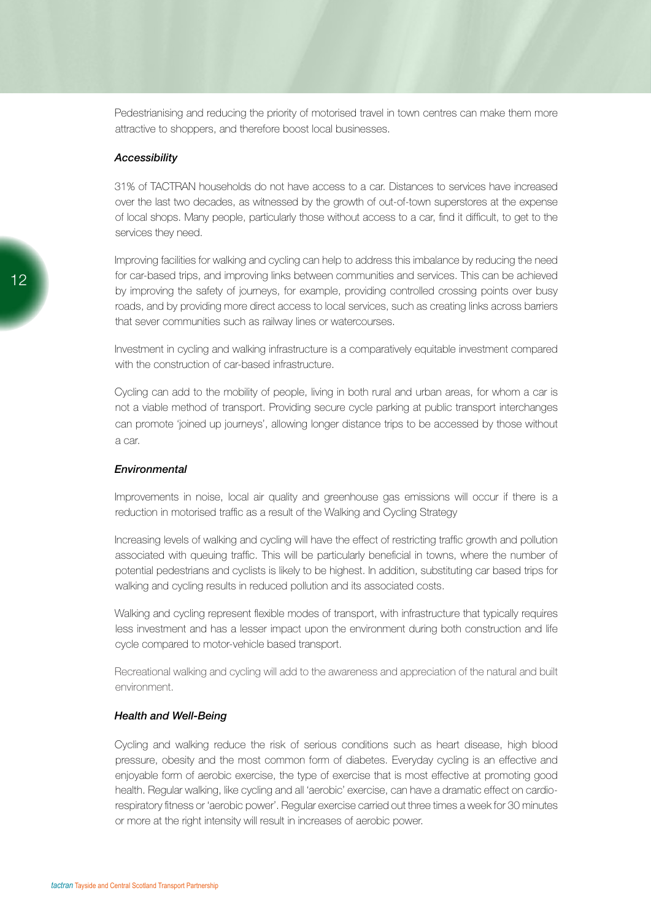Pedestrianising and reducing the priority of motorised travel in town centres can make them more attractive to shoppers, and therefore boost local businesses.

#### *Accessibility*

31% of TACTRAN households do not have access to a car. Distances to services have increased over the last two decades, as witnessed by the growth of out-of-town superstores at the expense of local shops. Many people, particularly those without access to a car, find it difficult, to get to the services they need.

Improving facilities for walking and cycling can help to address this imbalance by reducing the need for car-based trips, and improving links between communities and services. This can be achieved by improving the safety of journeys, for example, providing controlled crossing points over busy roads, and by providing more direct access to local services, such as creating links across barriers that sever communities such as railway lines or watercourses.

Investment in cycling and walking infrastructure is a comparatively equitable investment compared with the construction of car-based infrastructure.

Cycling can add to the mobility of people, living in both rural and urban areas, for whom a car is not a viable method of transport. Providing secure cycle parking at public transport interchanges can promote 'joined up journeys', allowing longer distance trips to be accessed by those without a car.

#### *Environmental*

Improvements in noise, local air quality and greenhouse gas emissions will occur if there is a reduction in motorised traffic as a result of the Walking and Cycling Strategy

Increasing levels of walking and cycling will have the effect of restricting traffic growth and pollution associated with queuing traffic. This will be particularly beneficial in towns, where the number of potential pedestrians and cyclists is likely to be highest. In addition, substituting car based trips for walking and cycling results in reduced pollution and its associated costs.

Walking and cycling represent flexible modes of transport, with infrastructure that typically requires less investment and has a lesser impact upon the environment during both construction and life cycle compared to motor-vehicle based transport.

Recreational walking and cycling will add to the awareness and appreciation of the natural and built environment.

#### *Health and Well-Being*

Cycling and walking reduce the risk of serious conditions such as heart disease, high blood pressure, obesity and the most common form of diabetes. Everyday cycling is an effective and enjoyable form of aerobic exercise, the type of exercise that is most effective at promoting good health. Regular walking, like cycling and all 'aerobic' exercise, can have a dramatic effect on cardiorespiratory fitness or 'aerobic power'. Regular exercise carried out three times a week for 30 minutes or more at the right intensity will result in increases of aerobic power.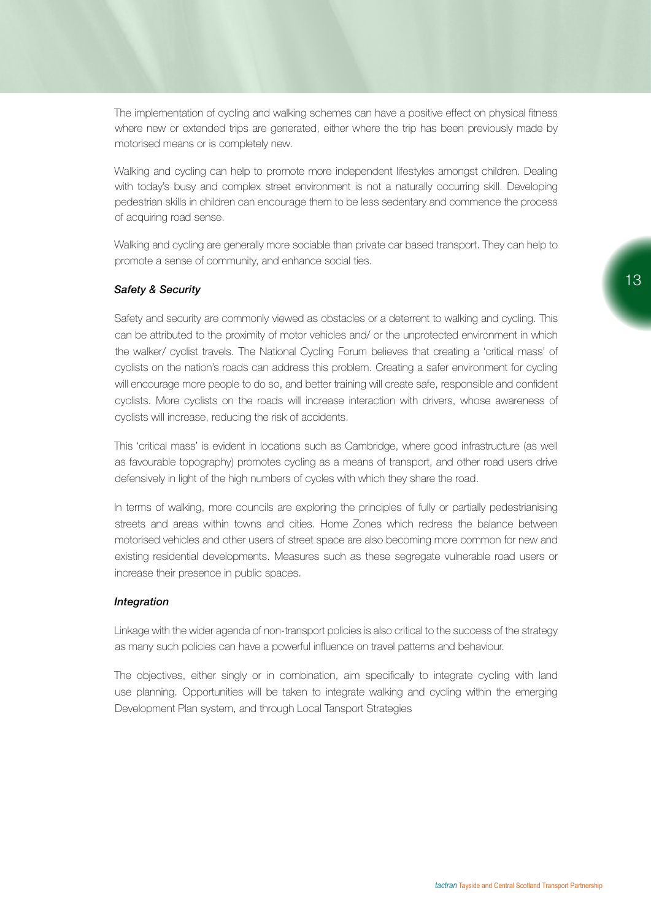The implementation of cycling and walking schemes can have a positive effect on physical fitness where new or extended trips are generated, either where the trip has been previously made by motorised means or is completely new.

Walking and cycling can help to promote more independent lifestyles amongst children. Dealing with today's busy and complex street environment is not a naturally occurring skill. Developing pedestrian skills in children can encourage them to be less sedentary and commence the process of acquiring road sense.

Walking and cycling are generally more sociable than private car based transport. They can help to promote a sense of community, and enhance social ties.

#### *Safety & Security*

Safety and security are commonly viewed as obstacles or a deterrent to walking and cycling. This can be attributed to the proximity of motor vehicles and/ or the unprotected environment in which the walker/ cyclist travels. The National Cycling Forum believes that creating a 'critical mass' of cyclists on the nation's roads can address this problem. Creating a safer environment for cycling will encourage more people to do so, and better training will create safe, responsible and confident cyclists. More cyclists on the roads will increase interaction with drivers, whose awareness of cyclists will increase, reducing the risk of accidents.

This 'critical mass' is evident in locations such as Cambridge, where good infrastructure (as well as favourable topography) promotes cycling as a means of transport, and other road users drive defensively in light of the high numbers of cycles with which they share the road.

In terms of walking, more councils are exploring the principles of fully or partially pedestrianising streets and areas within towns and cities. Home Zones which redress the balance between motorised vehicles and other users of street space are also becoming more common for new and existing residential developments. Measures such as these segregate vulnerable road users or increase their presence in public spaces.

#### *Integration*

Linkage with the wider agenda of non-transport policies is also critical to the success of the strategy as many such policies can have a powerful influence on travel patterns and behaviour.

The objectives, either singly or in combination, aim specifically to integrate cycling with land use planning. Opportunities will be taken to integrate walking and cycling within the emerging Development Plan system, and through Local Tansport Strategies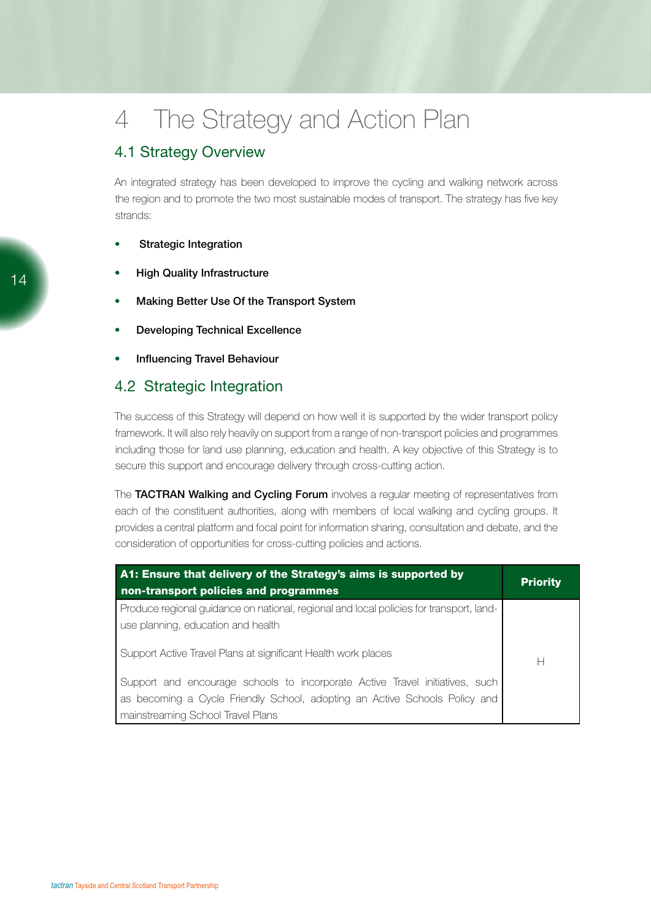## 4 The Strategy and Action Plan

## 4.1 Strategy Overview

An integrated strategy has been developed to improve the cycling and walking network across the region and to promote the two most sustainable modes of transport. The strategy has five key strands:

#### **Strategic Integration**

- **High Quality Infrastructure**
- Making Better Use Of the Transport System
- **Developing Technical Excellence**
- Influencing Travel Behaviour

### 4.2 Strategic Integration

The success of this Strategy will depend on how well it is supported by the wider transport policy framework. It will also rely heavily on support from a range of non-transport policies and programmes including those for land use planning, education and health. A key objective of this Strategy is to secure this support and encourage delivery through cross-cutting action.

The TACTRAN Walking and Cycling Forum involves a regular meeting of representatives from each of the constituent authorities, along with members of local walking and cycling groups. It provides a central platform and focal point for information sharing, consultation and debate, and the consideration of opportunities for cross-cutting policies and actions.

| A1: Ensure that delivery of the Strategy's aims is supported by<br>non-transport policies and programmes                                                                                        | <b>Priority</b> |
|-------------------------------------------------------------------------------------------------------------------------------------------------------------------------------------------------|-----------------|
| Produce regional guidance on national, regional and local policies for transport, land-<br>use planning, education and health                                                                   |                 |
| Support Active Travel Plans at significant Health work places                                                                                                                                   | Н               |
| Support and encourage schools to incorporate Active Travel initiatives, such<br>as becoming a Cycle Friendly School, adopting an Active Schools Policy and<br>mainstreaming School Travel Plans |                 |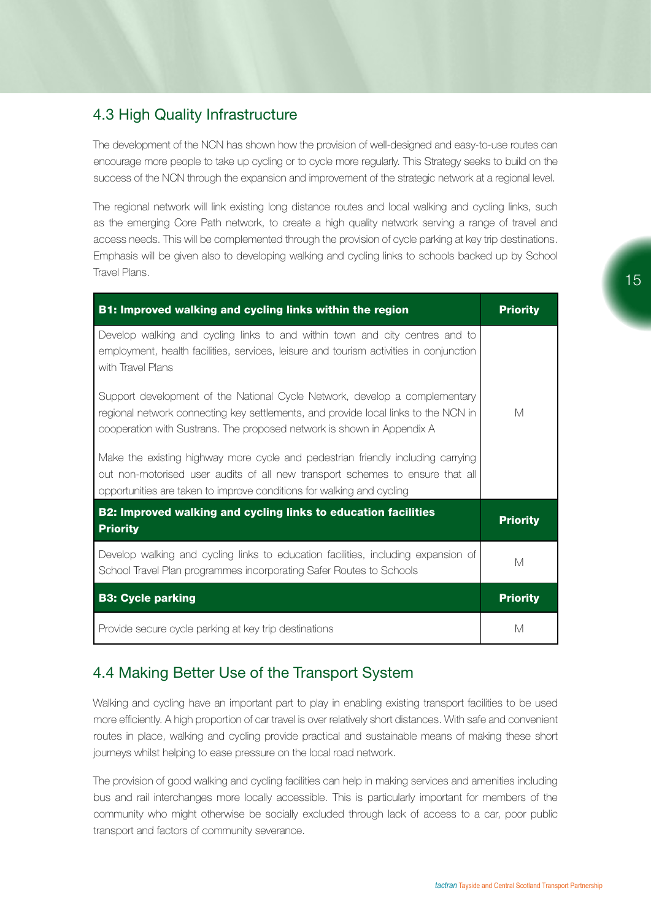## 4.3 High Quality Infrastructure

The development of the NCN has shown how the provision of well-designed and easy-to-use routes can encourage more people to take up cycling or to cycle more regularly. This Strategy seeks to build on the success of the NCN through the expansion and improvement of the strategic network at a regional level.

The regional network will link existing long distance routes and local walking and cycling links, such as the emerging Core Path network, to create a high quality network serving a range of travel and access needs. This will be complemented through the provision of cycle parking at key trip destinations. Emphasis will be given also to developing walking and cycling links to schools backed up by School Travel Plans.

| <b>B1: Improved walking and cycling links within the region</b>                                                                                                                                                                            | <b>Priority</b> |
|--------------------------------------------------------------------------------------------------------------------------------------------------------------------------------------------------------------------------------------------|-----------------|
| Develop walking and cycling links to and within town and city centres and to<br>employment, health facilities, services, leisure and tourism activities in conjunction<br>with Travel Plans                                                |                 |
| Support development of the National Cycle Network, develop a complementary<br>regional network connecting key settlements, and provide local links to the NCN in<br>cooperation with Sustrans. The proposed network is shown in Appendix A | M               |
| Make the existing highway more cycle and pedestrian friendly including carrying<br>out non-motorised user audits of all new transport schemes to ensure that all<br>opportunities are taken to improve conditions for walking and cycling  |                 |
| B2: Improved walking and cycling links to education facilities<br><b>Priority</b>                                                                                                                                                          | <b>Priority</b> |
| Develop walking and cycling links to education facilities, including expansion of<br>School Travel Plan programmes incorporating Safer Routes to Schools                                                                                   | M               |
| <b>B3: Cycle parking</b>                                                                                                                                                                                                                   | <b>Priority</b> |
| Provide secure cycle parking at key trip destinations                                                                                                                                                                                      | M               |

## 4.4 Making Better Use of the Transport System

Walking and cycling have an important part to play in enabling existing transport facilities to be used more efficiently. A high proportion of car travel is over relatively short distances. With safe and convenient routes in place, walking and cycling provide practical and sustainable means of making these short journeys whilst helping to ease pressure on the local road network.

The provision of good walking and cycling facilities can help in making services and amenities including bus and rail interchanges more locally accessible. This is particularly important for members of the community who might otherwise be socially excluded through lack of access to a car, poor public transport and factors of community severance.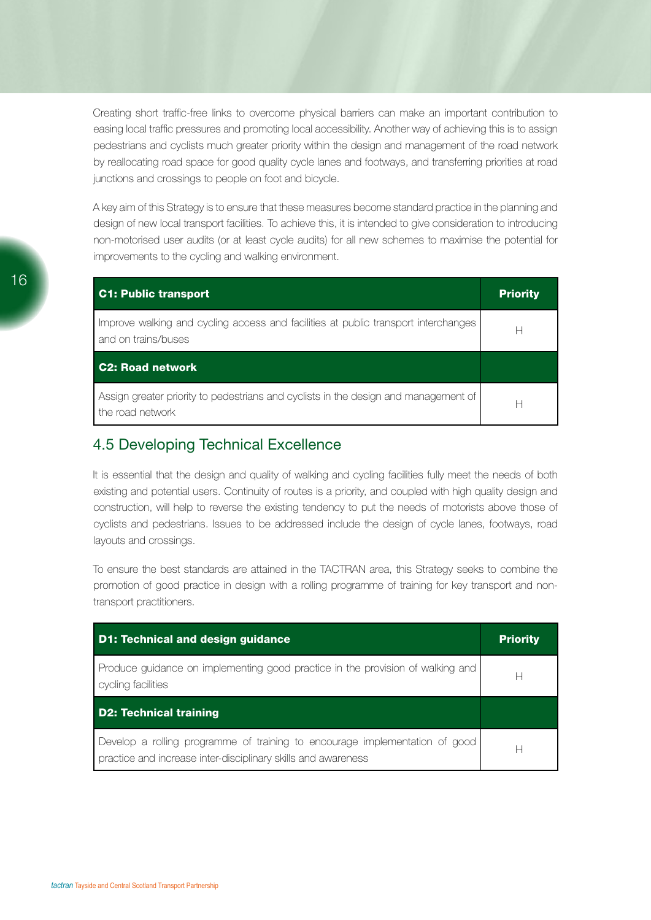Creating short traffic-free links to overcome physical barriers can make an important contribution to easing local traffic pressures and promoting local accessibility. Another way of achieving this is to assign pedestrians and cyclists much greater priority within the design and management of the road network by reallocating road space for good quality cycle lanes and footways, and transferring priorities at road junctions and crossings to people on foot and bicycle.

A key aim of this Strategy is to ensure that these measures become standard practice in the planning and design of new local transport facilities. To achieve this, it is intended to give consideration to introducing non-motorised user audits (or at least cycle audits) for all new schemes to maximise the potential for improvements to the cycling and walking environment.

| <b>C1: Public transport</b>                                                                               | <b>Priority</b> |
|-----------------------------------------------------------------------------------------------------------|-----------------|
| Improve walking and cycling access and facilities at public transport interchanges<br>and on trains/buses | ⊢               |
| <b>C2: Road network</b>                                                                                   |                 |
| Assign greater priority to pedestrians and cyclists in the design and management of<br>the road network   | ⊢               |

### 4.5 Developing Technical Excellence

It is essential that the design and quality of walking and cycling facilities fully meet the needs of both existing and potential users. Continuity of routes is a priority, and coupled with high quality design and construction, will help to reverse the existing tendency to put the needs of motorists above those of cyclists and pedestrians. Issues to be addressed include the design of cycle lanes, footways, road layouts and crossings.

To ensure the best standards are attained in the TACTRAN area, this Strategy seeks to combine the promotion of good practice in design with a rolling programme of training for key transport and nontransport practitioners.

| <b>D1: Technical and design guidance</b>                                                                                                     | <b>Priority</b> |
|----------------------------------------------------------------------------------------------------------------------------------------------|-----------------|
| Produce guidance on implementing good practice in the provision of walking and<br>cycling facilities                                         | Н               |
| <b>D2: Technical training</b>                                                                                                                |                 |
| Develop a rolling programme of training to encourage implementation of good<br>practice and increase inter-disciplinary skills and awareness | Н               |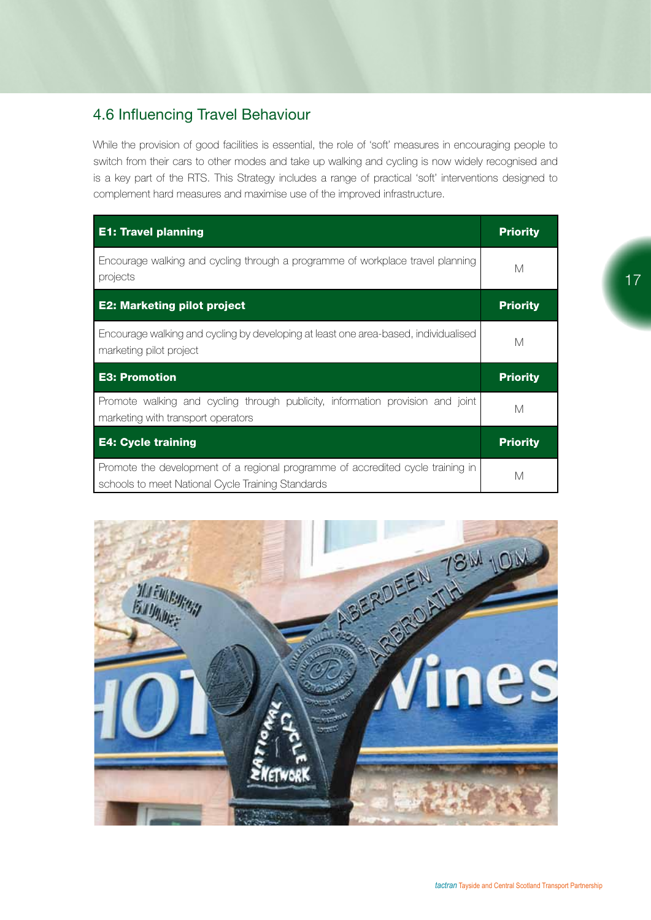## 4.6 Influencing Travel Behaviour

While the provision of good facilities is essential, the role of 'soft' measures in encouraging people to switch from their cars to other modes and take up walking and cycling is now widely recognised and is a key part of the RTS. This Strategy includes a range of practical 'soft' interventions designed to complement hard measures and maximise use of the improved infrastructure.

| <b>E1: Travel planning</b>                                                                                           | <b>Priority</b> |
|----------------------------------------------------------------------------------------------------------------------|-----------------|
| Encourage walking and cycling through a programme of workplace travel planning<br>projects                           | М               |
| <b>E2: Marketing pilot project</b>                                                                                   | <b>Priority</b> |
| Encourage walking and cycling by developing at least one area-based, individualised<br>marketing pilot project       | М               |
| <b>E3: Promotion</b>                                                                                                 | <b>Priority</b> |
|                                                                                                                      |                 |
| Promote walking and cycling through publicity, information provision and joint<br>marketing with transport operators | М               |
| <b>E4: Cycle training</b>                                                                                            | <b>Priority</b> |

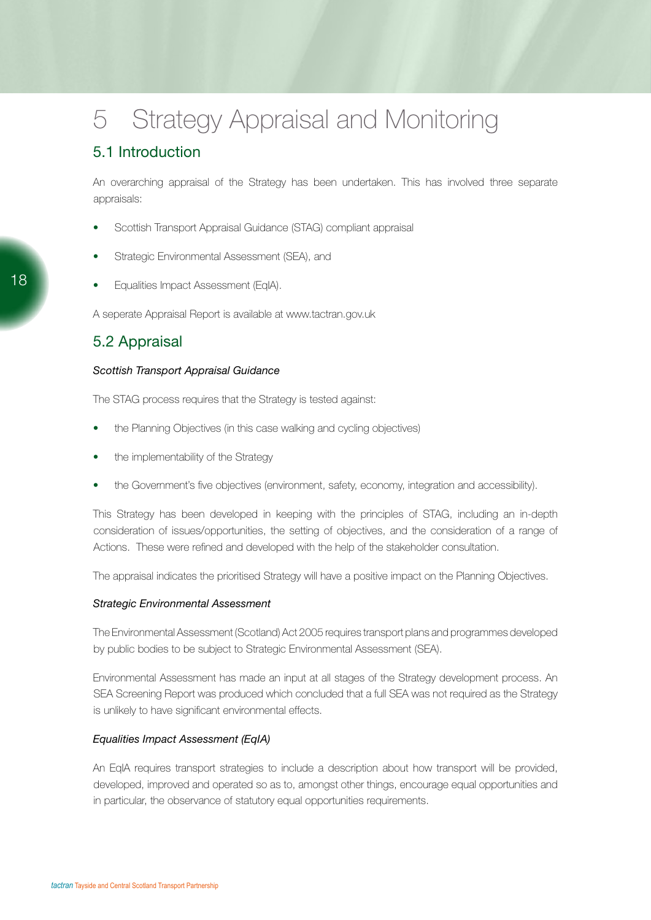## 5 Strategy Appraisal and Monitoring

## 5.1 Introduction

An overarching appraisal of the Strategy has been undertaken. This has involved three separate appraisals:

- Scottish Transport Appraisal Guidance (STAG) compliant appraisal
- Strategic Environmental Assessment (SEA), and
- Equalities Impact Assessment (EqIA).

A seperate Appraisal Report is available at www.tactran.gov.uk

### 5.2 Appraisal

#### *Scottish Transport Appraisal Guidance*

The STAG process requires that the Strategy is tested against:

- the Planning Objectives (in this case walking and cycling objectives)
- the implementability of the Strategy
- the Government's five objectives (environment, safety, economy, integration and accessibility).

This Strategy has been developed in keeping with the principles of STAG, including an in-depth consideration of issues/opportunities, the setting of objectives, and the consideration of a range of Actions. These were refined and developed with the help of the stakeholder consultation.

The appraisal indicates the prioritised Strategy will have a positive impact on the Planning Objectives.

#### *Strategic Environmental Assessment*

The Environmental Assessment (Scotland) Act 2005 requires transport plans and programmes developed by public bodies to be subject to Strategic Environmental Assessment (SEA).

Environmental Assessment has made an input at all stages of the Strategy development process. An SEA Screening Report was produced which concluded that a full SEA was not required as the Strategy is unlikely to have significant environmental effects.

#### *Equalities Impact Assessment (EqIA)*

An EqIA requires transport strategies to include a description about how transport will be provided, developed, improved and operated so as to, amongst other things, encourage equal opportunities and in particular, the observance of statutory equal opportunities requirements.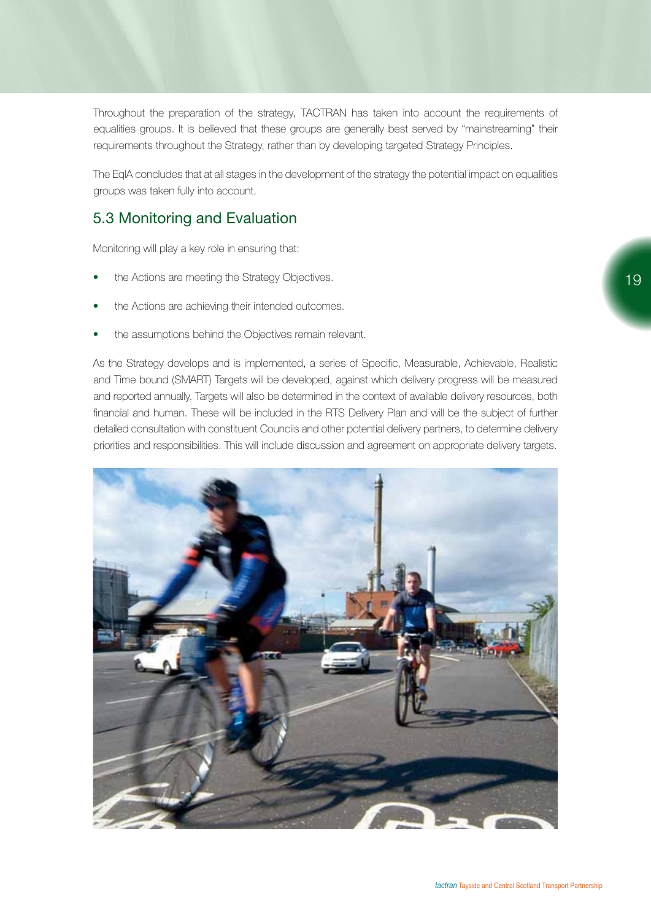Throughout the preparation of the strategy, TACTRAN has taken into account the requirements of equalities groups. It is believed that these groups are generally best served by "mainstreaming" their requirements throughout the Strategy, rather than by developing targeted Strategy Principles.

The EqIA concludes that at all stages in the development of the strategy the potential impact on equalities groups was taken fully into account.

## 5.3 Monitoring and Evaluation

Monitoring will play a key role in ensuring that:

- the Actions are meeting the Strategy Objectives.
- the Actions are achieving their intended outcomes.
- the assumptions behind the Objectives remain relevant.

As the Strategy develops and is implemented, a series of Specific, Measurable, Achievable, Realistic and Time bound (SMART) Targets will be developed, against which delivery progress will be measured and reported annually. Targets will also be determined in the context of available delivery resources, both financial and human. These will be included in the RTS Delivery Plan and will be the subject of further detailed consultation with constituent Councils and other potential delivery partners, to determine delivery priorities and responsibilities. This will include discussion and agreement on appropriate delivery targets.

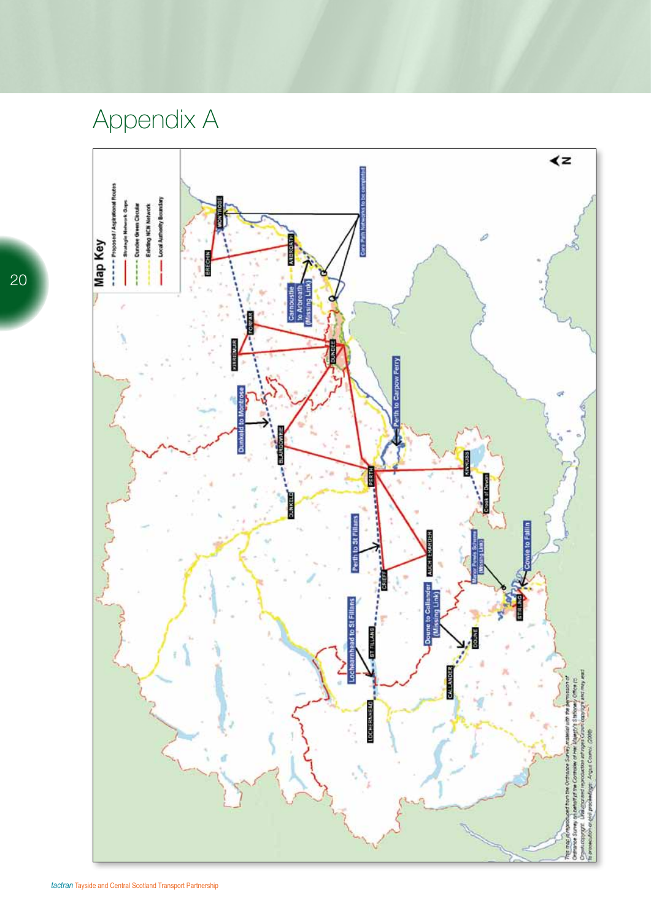# Appendix A